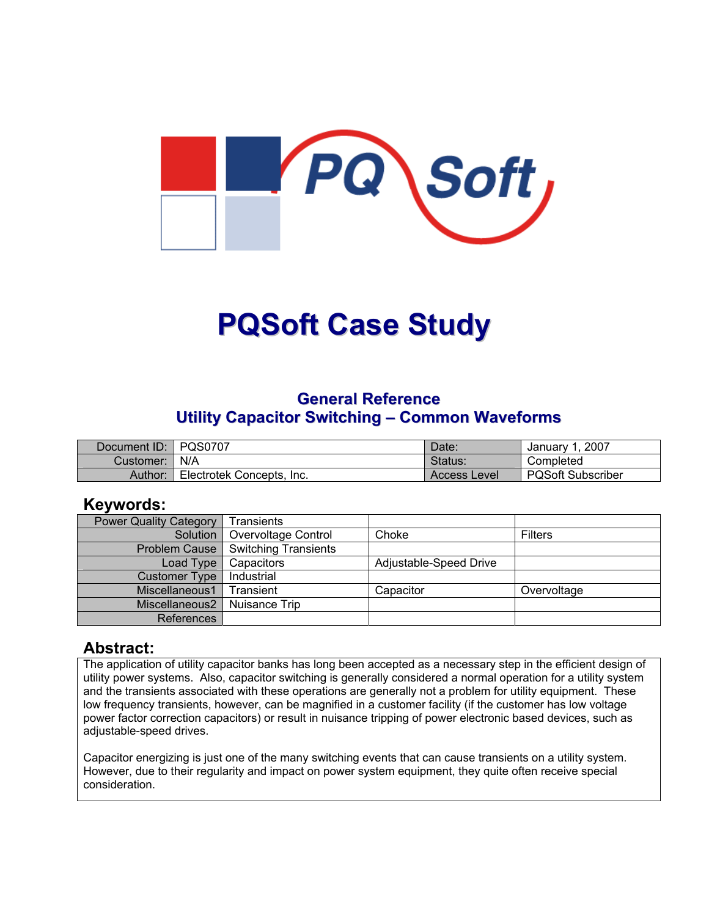

# **PQSoft Case Study**

## **General Reference Utility Capacitor Switching – Common Waveforms**

| Document ID:   PQS0707 |                           | Date:        | 2007<br>Januarv          |
|------------------------|---------------------------|--------------|--------------------------|
| Customer:              | N/A                       | Status:      | Completed                |
| Author:                | Electrotek Concepts, Inc. | Access Level | <b>PQSoft Subscriber</b> |

#### **Keywords:**

| <b>Power Quality Category</b> | Transients           |                        |                |
|-------------------------------|----------------------|------------------------|----------------|
| Solution                      | Overvoltage Control  | Choke                  | <b>Filters</b> |
| Problem Cause                 | Switching Transients |                        |                |
| Load Type                     | Capacitors           | Adjustable-Speed Drive |                |
| <b>Customer Type</b>          | Industrial           |                        |                |
| Miscellaneous1                | Transient            | Capacitor              | Overvoltage    |
| Miscellaneous2                | Nuisance Trip        |                        |                |
| References                    |                      |                        |                |

#### **Abstract:**

The application of utility capacitor banks has long been accepted as a necessary step in the efficient design of utility power systems. Also, capacitor switching is generally considered a normal operation for a utility system and the transients associated with these operations are generally not a problem for utility equipment. These low frequency transients, however, can be magnified in a customer facility (if the customer has low voltage power factor correction capacitors) or result in nuisance tripping of power electronic based devices, such as adjustable-speed drives.

Capacitor energizing is just one of the many switching events that can cause transients on a utility system. However, due to their regularity and impact on power system equipment, they quite often receive special consideration.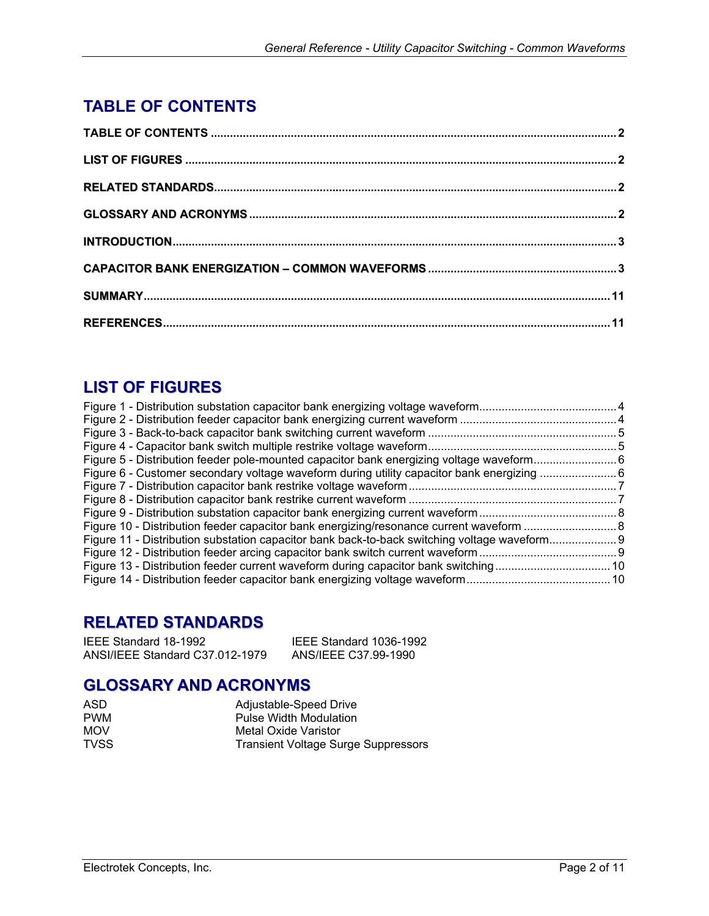# <span id="page-1-0"></span>**TABLE OF CONTENTS**

# **LIST OF FIGURES**

| Figure 6 - Customer secondary voltage waveform during utility capacitor bank energizing 6  |  |
|--------------------------------------------------------------------------------------------|--|
|                                                                                            |  |
|                                                                                            |  |
|                                                                                            |  |
| Figure 10 - Distribution feeder capacitor bank energizing/resonance current waveform 8     |  |
| Figure 11 - Distribution substation capacitor bank back-to-back switching voltage waveform |  |
|                                                                                            |  |
|                                                                                            |  |
|                                                                                            |  |

## **RELATED STANDARDS**

IEEE Standard 18-1992 IEEE Standard 1036-1992<br>ANSI/IEEE Standard C37.012-1979 ANS/IEEE C37.99-1990 ANSI/IEEE Standard C37.012-1979

# **GLOSSARY AND ACRONYMS**

| ASD        | Adjustable-Speed Drive                     |
|------------|--------------------------------------------|
| <b>PWM</b> | <b>Pulse Width Modulation</b>              |
| <b>MOV</b> | Metal Oxide Varistor                       |
| TVSS       | <b>Transient Voltage Surge Suppressors</b> |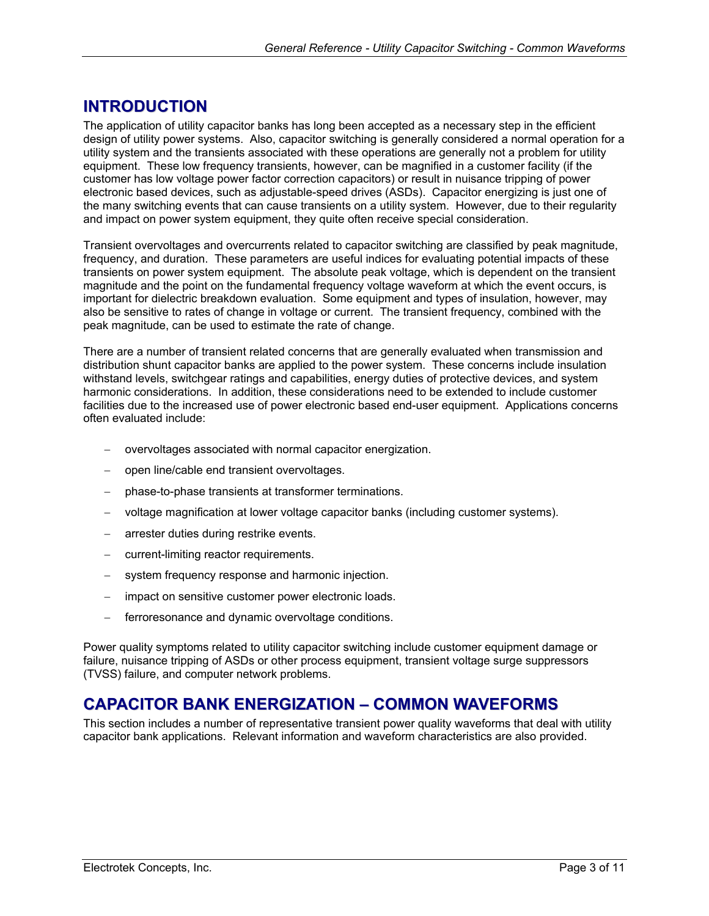### <span id="page-2-0"></span>**INTRODUCTION**

The application of utility capacitor banks has long been accepted as a necessary step in the efficient design of utility power systems. Also, capacitor switching is generally considered a normal operation for a utility system and the transients associated with these operations are generally not a problem for utility equipment. These low frequency transients, however, can be magnified in a customer facility (if the customer has low voltage power factor correction capacitors) or result in nuisance tripping of power electronic based devices, such as adjustable-speed drives (ASDs). Capacitor energizing is just one of the many switching events that can cause transients on a utility system. However, due to their regularity and impact on power system equipment, they quite often receive special consideration.

Transient overvoltages and overcurrents related to capacitor switching are classified by peak magnitude, frequency, and duration. These parameters are useful indices for evaluating potential impacts of these transients on power system equipment. The absolute peak voltage, which is dependent on the transient magnitude and the point on the fundamental frequency voltage waveform at which the event occurs, is important for dielectric breakdown evaluation. Some equipment and types of insulation, however, may also be sensitive to rates of change in voltage or current. The transient frequency, combined with the peak magnitude, can be used to estimate the rate of change.

There are a number of transient related concerns that are generally evaluated when transmission and distribution shunt capacitor banks are applied to the power system. These concerns include insulation withstand levels, switchgear ratings and capabilities, energy duties of protective devices, and system harmonic considerations. In addition, these considerations need to be extended to include customer facilities due to the increased use of power electronic based end-user equipment. Applications concerns often evaluated include:

- − overvoltages associated with normal capacitor energization.
- − open line/cable end transient overvoltages.
- − phase-to-phase transients at transformer terminations.
- − voltage magnification at lower voltage capacitor banks (including customer systems).
- arrester duties during restrike events.
- − current-limiting reactor requirements.
- − system frequency response and harmonic injection.
- − impact on sensitive customer power electronic loads.
- ferroresonance and dynamic overvoltage conditions.

Power quality symptoms related to utility capacitor switching include customer equipment damage or failure, nuisance tripping of ASDs or other process equipment, transient voltage surge suppressors (TVSS) failure, and computer network problems.

#### **CAPACITOR BANK ENERGIZATION – COMMON WAVEFORMS**

This section includes a number of representative transient power quality waveforms that deal with utility capacitor bank applications. Relevant information and waveform characteristics are also provided.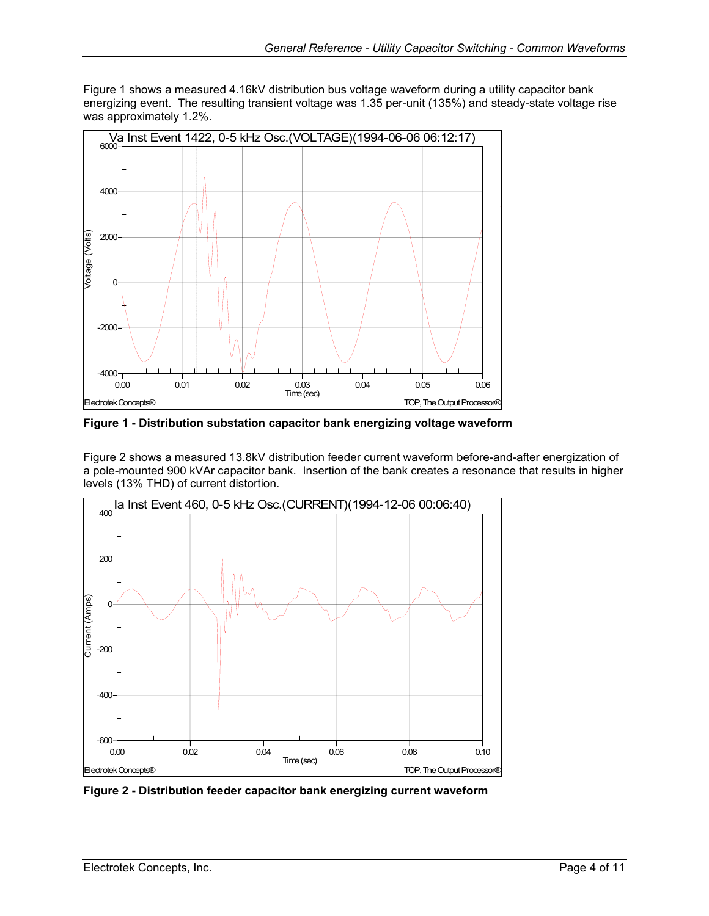<span id="page-3-0"></span>[Figure 1](#page-3-1) shows a measured 4.16kV distribution bus voltage waveform during a utility capacitor bank energizing event. The resulting transient voltage was 1.35 per-unit (135%) and steady-state voltage rise was approximately 1.2%.

<span id="page-3-1"></span>

**Figure 1 - Distribution substation capacitor bank energizing voltage waveform** 

[Figure 2](#page-3-2) shows a measured 13.8kV distribution feeder current waveform before-and-after energization of a pole-mounted 900 kVAr capacitor bank. Insertion of the bank creates a resonance that results in higher levels (13% THD) of current distortion.

<span id="page-3-2"></span>

**Figure 2 - Distribution feeder capacitor bank energizing current waveform**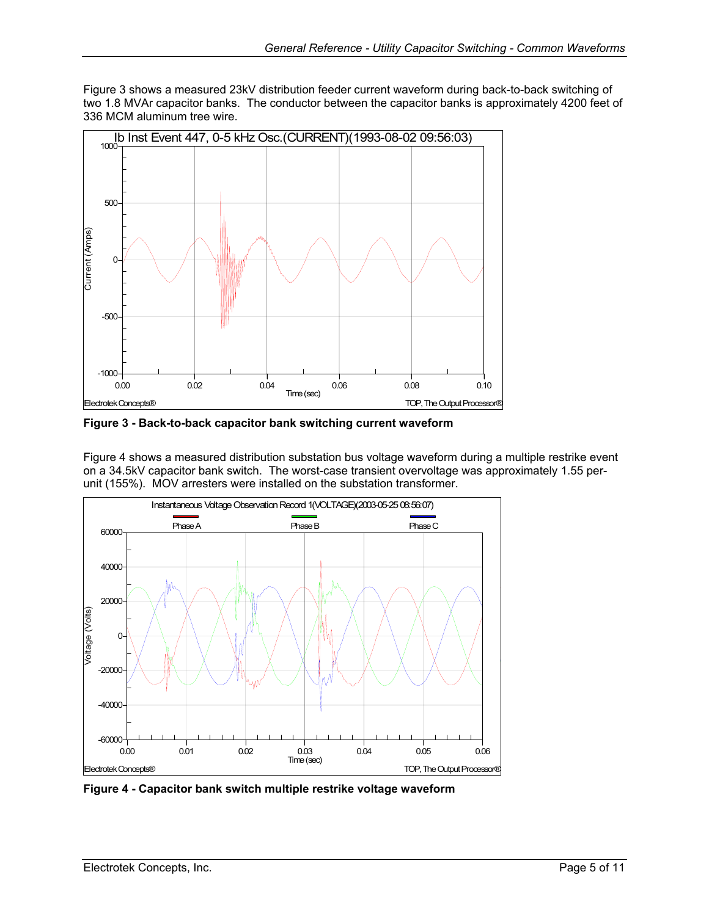<span id="page-4-0"></span>[Figure 3](#page-4-1) shows a measured 23kV distribution feeder current waveform during back-to-back switching of two 1.8 MVAr capacitor banks. The conductor between the capacitor banks is approximately 4200 feet of 336 MCM aluminum tree wire.

<span id="page-4-1"></span>

**Figure 3 - Back-to-back capacitor bank switching current waveform** 

[Figure 4](#page-4-2) shows a measured distribution substation bus voltage waveform during a multiple restrike event on a 34.5kV capacitor bank switch. The worst-case transient overvoltage was approximately 1.55 perunit (155%). MOV arresters were installed on the substation transformer.

<span id="page-4-2"></span>

**Figure 4 - Capacitor bank switch multiple restrike voltage waveform**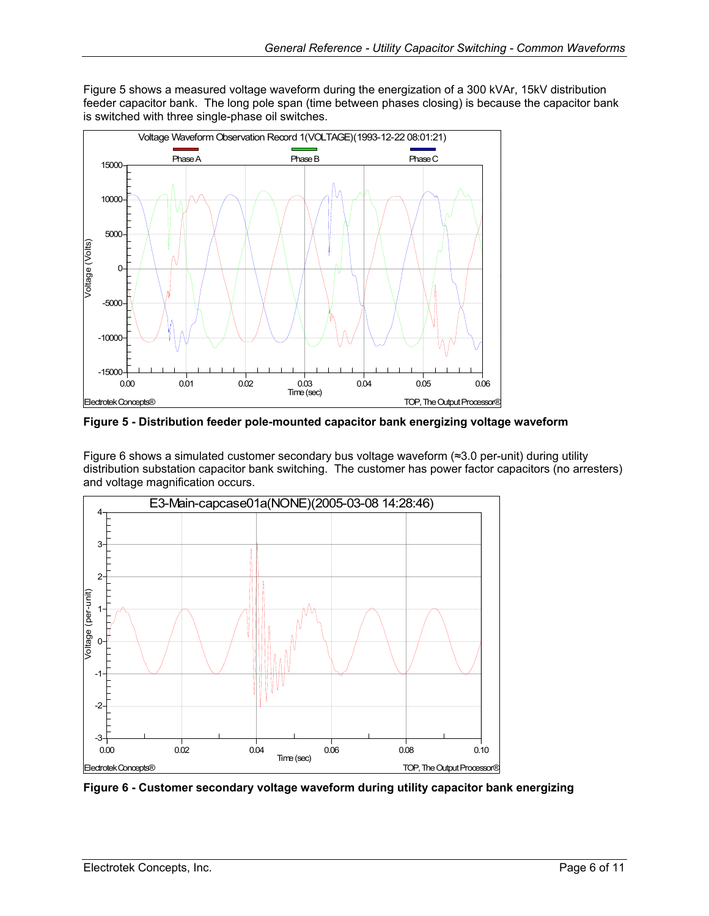<span id="page-5-0"></span>[Figure 5](#page-5-1) shows a measured voltage waveform during the energization of a 300 kVAr, 15kV distribution feeder capacitor bank. The long pole span (time between phases closing) is because the capacitor bank is switched with three single-phase oil switches.

<span id="page-5-1"></span>

**Figure 5 - Distribution feeder pole-mounted capacitor bank energizing voltage waveform** 

[Figure 6](#page-5-2) shows a simulated customer secondary bus voltage waveform (≈3.0 per-unit) during utility distribution substation capacitor bank switching. The customer has power factor capacitors (no arresters) and voltage magnification occurs.

<span id="page-5-2"></span>

**Figure 6 - Customer secondary voltage waveform during utility capacitor bank energizing**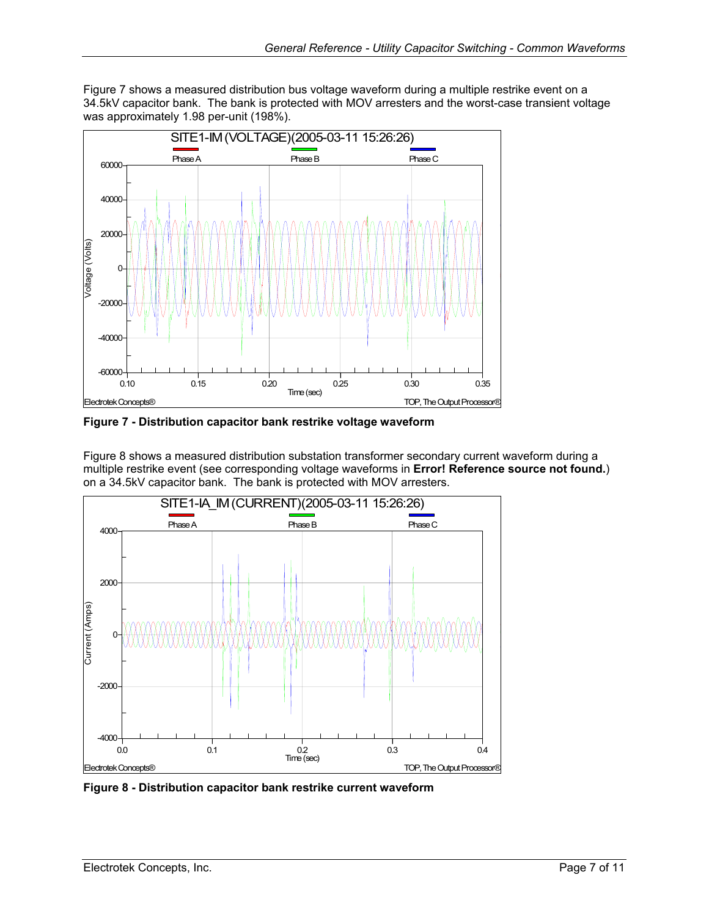<span id="page-6-0"></span>[Figure 7](#page-6-1) shows a measured distribution bus voltage waveform during a multiple restrike event on a 34.5kV capacitor bank. The bank is protected with MOV arresters and the worst-case transient voltage was approximately 1.98 per-unit (198%).

<span id="page-6-1"></span>

**Figure 7 - Distribution capacitor bank restrike voltage waveform**

[Figure 8](#page-6-2) shows a measured distribution substation transformer secondary current waveform during a multiple restrike event (see corresponding voltage waveforms in **Error! Reference source not found.**) on a 34.5kV capacitor bank. The bank is protected with MOV ar[resters.](#page-7-1) 

<span id="page-6-2"></span>

**Figure 8 - Distribution capacitor bank restrike current waveform**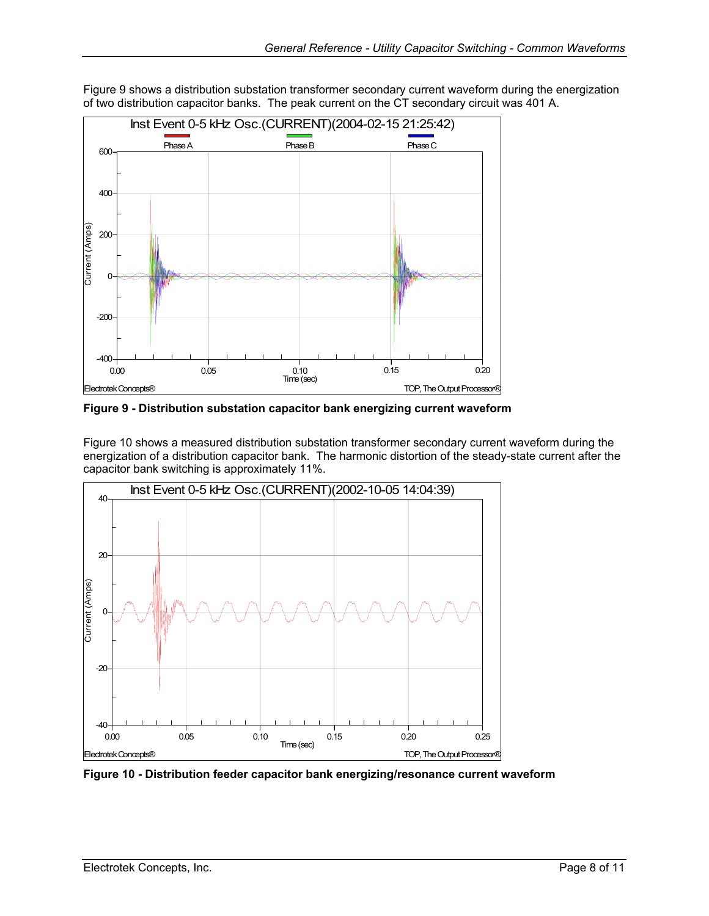<span id="page-7-1"></span>

<span id="page-7-0"></span>[Figure 9](#page-7-1) shows a distribution substation transformer secondary current waveform during the energization of two distribution capacitor banks. The peak current on the CT secondary circuit was 401 A.

**Figure 9 - Distribution substation capacitor bank energizing current waveform** 

[Figure 10](#page-7-2) shows a measured distribution substation transformer secondary current waveform during the energization of a distribution capacitor bank. The harmonic distortion of the steady-state current after the capacitor bank switching is approximately 11%.

<span id="page-7-2"></span>

**Figure 10 - Distribution feeder capacitor bank energizing/resonance current waveform**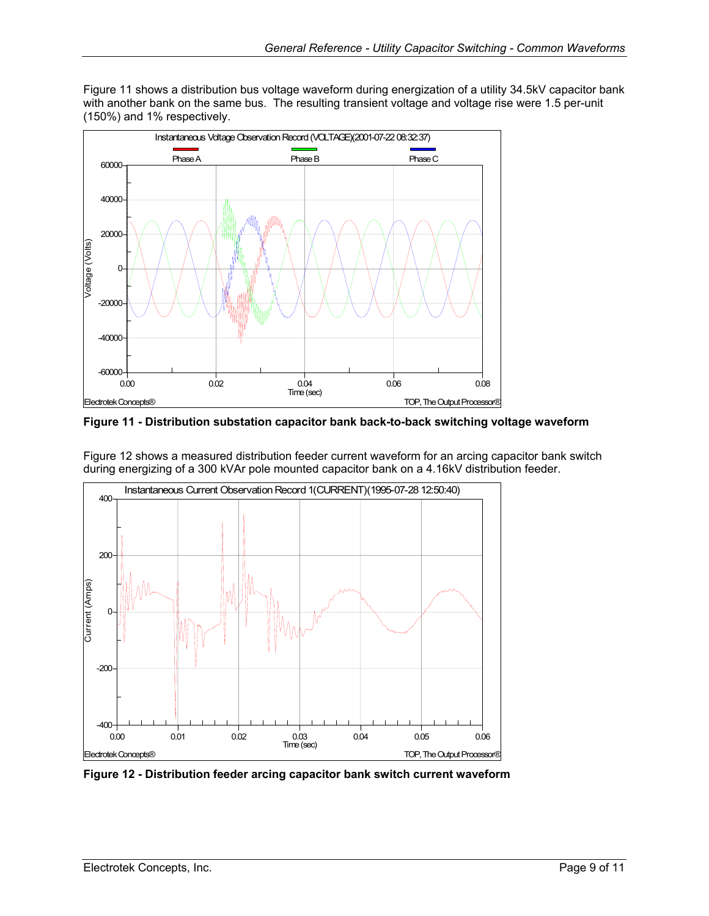<span id="page-8-0"></span>[Figure 11](#page-8-1) shows a distribution bus voltage waveform during energization of a utility 34.5kV capacitor bank with another bank on the same bus. The resulting transient voltage and voltage rise were 1.5 per-unit (150%) and 1% respectively.

<span id="page-8-1"></span>

**Figure 11 - Distribution substation capacitor bank back-to-back switching voltage waveform** 

<span id="page-8-2"></span>

[Figure 12](#page-8-2) shows a measured distribution feeder current waveform for an arcing capacitor bank switch during energizing of a 300 kVAr pole mounted capacitor bank on a 4.16kV distribution feeder.

**Figure 12 - Distribution feeder arcing capacitor bank switch current waveform**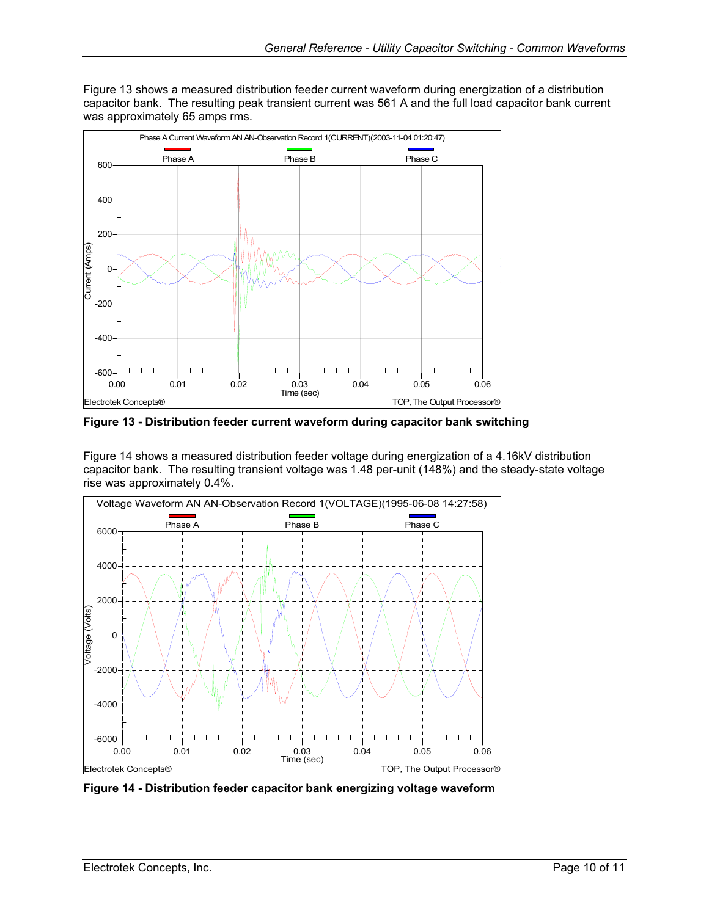<span id="page-9-0"></span>[Figure 13](#page-9-1) shows a measured distribution feeder current waveform during energization of a distribution capacitor bank. The resulting peak transient current was 561 A and the full load capacitor bank current was approximately 65 amps rms.

<span id="page-9-1"></span>

**Figure 13 - Distribution feeder current waveform during capacitor bank switching** 

[Figure 14](#page-9-2) shows a measured distribution feeder voltage during energization of a 4.16kV distribution capacitor bank. The resulting transient voltage was 1.48 per-unit (148%) and the steady-state voltage rise was approximately 0.4%.

<span id="page-9-2"></span>

**Figure 14 - Distribution feeder capacitor bank energizing voltage waveform**